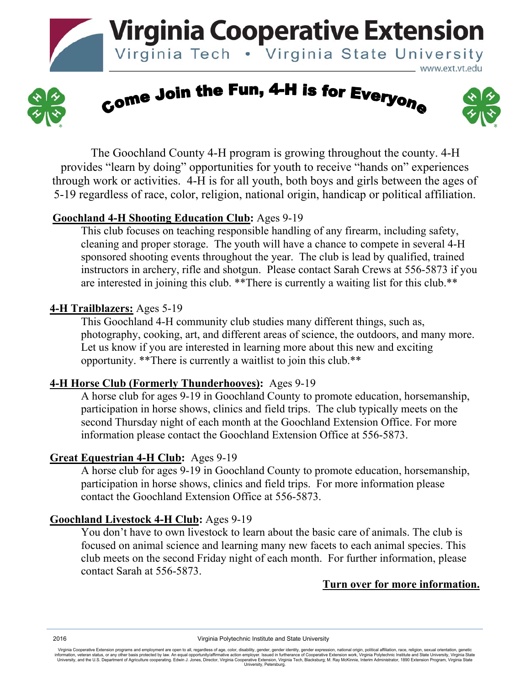**Virginia Cooperative Extension** 

Virginia Tech . Virginia State University



Come Join the Fun, 4-H is for Everyone



www.ext.vt.edu

 The Goochland County 4-H program is growing throughout the county. 4-H provides "learn by doing" opportunities for youth to receive "hands on" experiences through work or activities. 4-H is for all youth, both boys and girls between the ages of 5-19 regardless of race, color, religion, national origin, handicap or political affiliation.

#### **Goochland 4-H Shooting Education Club:** Ages 9-19

This club focuses on teaching responsible handling of any firearm, including safety, cleaning and proper storage. The youth will have a chance to compete in several 4-H sponsored shooting events throughout the year. The club is lead by qualified, trained instructors in archery, rifle and shotgun. Please contact Sarah Crews at 556-5873 if you are interested in joining this club. \*\*There is currently a waiting list for this club.\*\*

# **4-H Trailblazers:** Ages 5-19

This Goochland 4-H community club studies many different things, such as, photography, cooking, art, and different areas of science, the outdoors, and many more. Let us know if you are interested in learning more about this new and exciting opportunity. \*\*There is currently a waitlist to join this club.\*\*

# **4-H Horse Club (Formerly Thunderhooves):** Ages 9-19

A horse club for ages 9-19 in Goochland County to promote education, horsemanship, participation in horse shows, clinics and field trips. The club typically meets on the second Thursday night of each month at the Goochland Extension Office. For more information please contact the Goochland Extension Office at 556-5873.

# **Great Equestrian 4-H Club:** Ages 9-19

A horse club for ages 9-19 in Goochland County to promote education, horsemanship, participation in horse shows, clinics and field trips. For more information please contact the Goochland Extension Office at 556-5873.

# **Goochland Livestock 4-H Club:** Ages 9-19

You don't have to own livestock to learn about the basic care of animals. The club is focused on animal science and learning many new facets to each animal species. This club meets on the second Friday night of each month. For further information, please contact Sarah at 556-5873.

# **Turn over for more information.**